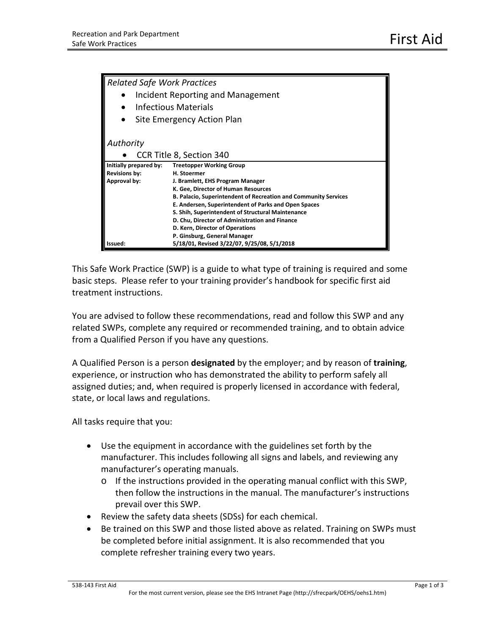| <b>Related Safe Work Practices</b> |                                                                        |
|------------------------------------|------------------------------------------------------------------------|
| Incident Reporting and Management  |                                                                        |
| Infectious Materials               |                                                                        |
| Site Emergency Action Plan         |                                                                        |
|                                    |                                                                        |
| Authority                          |                                                                        |
| CCR Title 8, Section 340           |                                                                        |
| Initially prepared by:             | <b>Treetopper Working Group</b>                                        |
| <b>Revisions by:</b>               | H. Stoermer                                                            |
| Approval by:                       | J. Bramlett, EHS Program Manager                                       |
|                                    | K. Gee, Director of Human Resources                                    |
|                                    | <b>B. Palacio, Superintendent of Recreation and Community Services</b> |
|                                    | E. Andersen, Superintendent of Parks and Open Spaces                   |
|                                    | S. Shih, Superintendent of Structural Maintenance                      |
|                                    | D. Chu, Director of Administration and Finance                         |
|                                    | D. Kern, Director of Operations                                        |
|                                    | P. Ginsburg, General Manager                                           |
| Issued:                            | 5/18/01, Revised 3/22/07, 9/25/08, 5/1/2018                            |

This Safe Work Practice (SWP) is a guide to what type of training is required and some basic steps. Please refer to your training provider's handbook for specific first aid treatment instructions.

You are advised to follow these recommendations, read and follow this SWP and any related SWPs, complete any required or recommended training, and to obtain advice from a Qualified Person if you have any questions.

A Qualified Person is a person **designated** by the employer; and by reason of **training**, experience, or instruction who has demonstrated the ability to perform safely all assigned duties; and, when required is properly licensed in accordance with federal, state, or local laws and regulations.

All tasks require that you:

- Use the equipment in accordance with the guidelines set forth by the manufacturer. This includes following all signs and labels, and reviewing any manufacturer's operating manuals.
	- $\circ$  If the instructions provided in the operating manual conflict with this SWP, then follow the instructions in the manual. The manufacturer's instructions prevail over this SWP.
- Review the safety data sheets (SDSs) for each chemical.
- Be trained on this SWP and those listed above as related. Training on SWPs must be completed before initial assignment. It is also recommended that you complete refresher training every two years.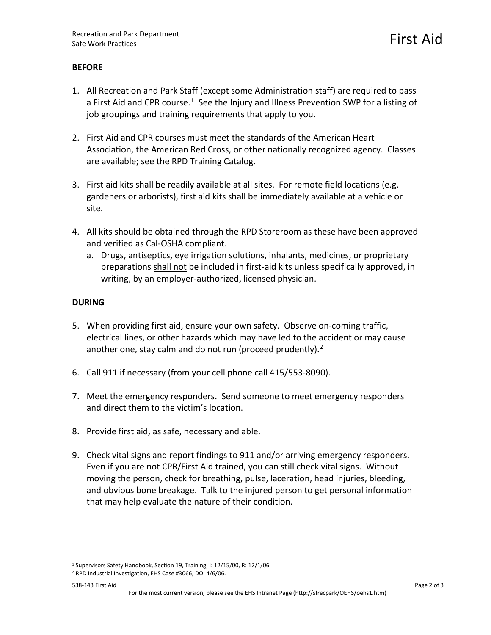### **BEFORE**

- 1. All Recreation and Park Staff (except some Administration staff) are required to pass a First Aid and CPR course.<sup>[1](#page-1-0)</sup> See the Injury and Illness Prevention SWP for a listing of job groupings and training requirements that apply to you.
- 2. First Aid and CPR courses must meet the standards of the American Heart Association, the American Red Cross, or other nationally recognized agency. Classes are available; see the RPD Training Catalog.
- 3. First aid kits shall be readily available at all sites. For remote field locations (e.g. gardeners or arborists), first aid kits shall be immediately available at a vehicle or site.
- 4. All kits should be obtained through the RPD Storeroom as these have been approved and verified as Cal-OSHA compliant.
	- a. Drugs, antiseptics, eye irrigation solutions, inhalants, medicines, or proprietary preparations shall not be included in first-aid kits unless specifically approved, in writing, by an employer-authorized, licensed physician.

### **DURING**

- 5. When providing first aid, ensure your own safety. Observe on-coming traffic, electrical lines, or other hazards which may have led to the accident or may cause another one, stay calm and do not run (proceed prudently). $<sup>2</sup>$  $<sup>2</sup>$  $<sup>2</sup>$ </sup>
- 6. Call 911 if necessary (from your cell phone call 415/553-8090).
- 7. Meet the emergency responders. Send someone to meet emergency responders and direct them to the victim's location.
- 8. Provide first aid, as safe, necessary and able.
- 9. Check vital signs and report findings to 911 and/or arriving emergency responders. Even if you are not CPR/First Aid trained, you can still check vital signs. Without moving the person, check for breathing, pulse, laceration, head injuries, bleeding, and obvious bone breakage. Talk to the injured person to get personal information that may help evaluate the nature of their condition.

#### 538-143 First Aid Page 2 of 3

 $\overline{a}$ <sup>1</sup> Supervisors Safety Handbook, Section 19, Training, I: 12/15/00, R: 12/1/06

<span id="page-1-1"></span><span id="page-1-0"></span><sup>2</sup> RPD Industrial Investigation, EHS Case #3066, DOI 4/6/06.